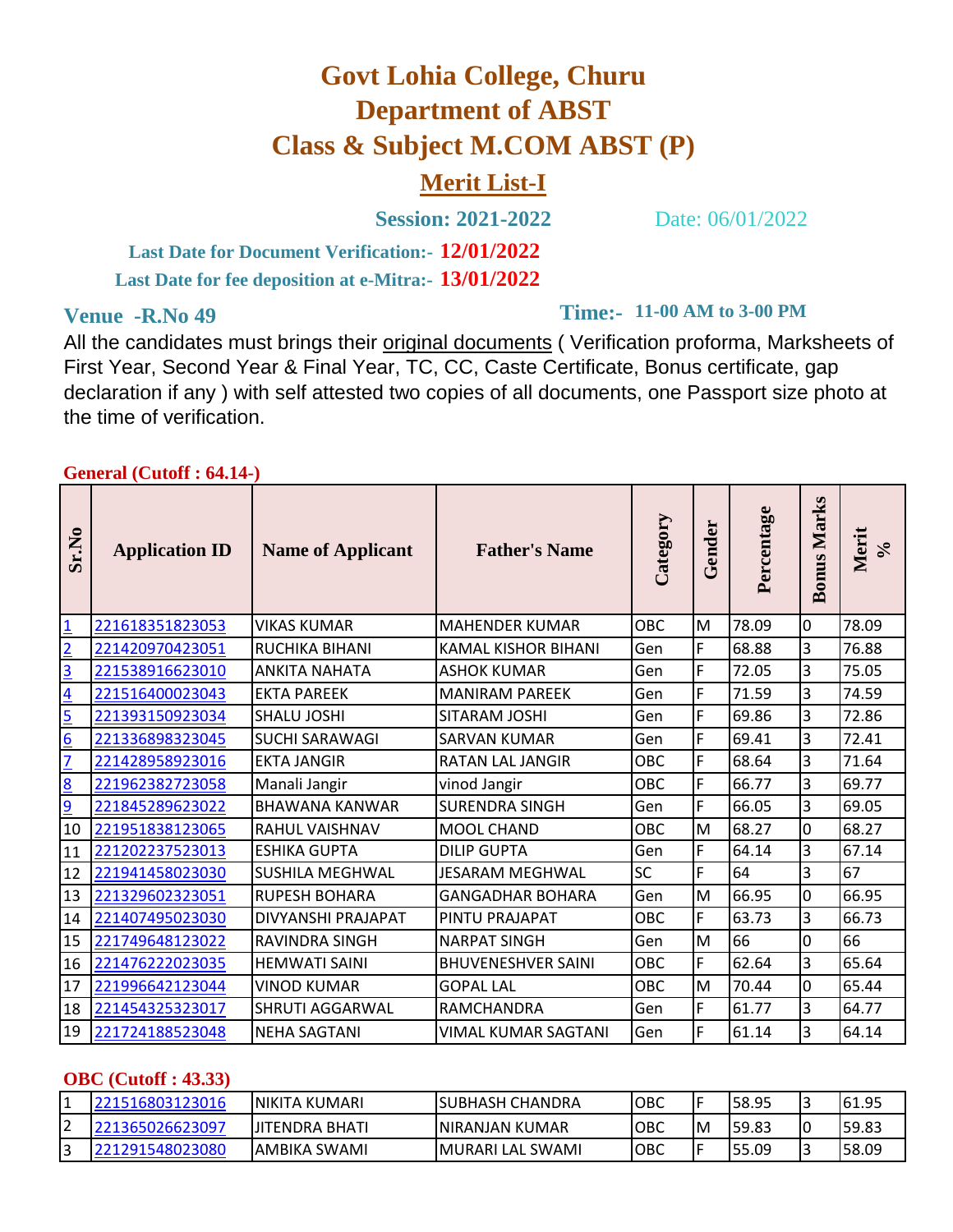# **Govt Lohia College, Churu Department of ABST Class & Subject M.COM ABST (P)**

## **Merit List-I**

**Session: 2021-2022** Date: 06/01/2022

**12/01/2022 Last Date for Document Verification:- 13/01/2022 Last Date for fee deposition at e-Mitra:-**

**Venue -R.No 49 11-00 AM to 3-00 PM** 

All the candidates must brings their original documents ( Verification proforma, Marksheets of First Year, Second Year & Final Year, TC, CC, Caste Certificate, Bonus certificate, gap declaration if any ) with self attested two copies of all documents, one Passport size photo at the time of verification.

#### **General (Cutoff : 64.14-)**

| $\bullet$<br><b>Sr.N</b> | <b>Application ID</b> | <b>Name of Applicant</b> | <b>Father's Name</b>       | Category   | Gender | Percentage | <b>Marks</b><br><b>Bonus</b> | Merit<br>$\sqrt{6}$ |
|--------------------------|-----------------------|--------------------------|----------------------------|------------|--------|------------|------------------------------|---------------------|
| $\overline{1}$           | 221618351823053       | <b>VIKAS KUMAR</b>       | <b>MAHENDER KUMAR</b>      | <b>OBC</b> | M      | 78.09      | $\mathbf 0$                  | 78.09               |
| $\overline{2}$           | 221420970423051       | <b>RUCHIKA BIHANI</b>    | <b>KAMAL KISHOR BIHANI</b> | Gen        | F      | 68.88      | 3                            | 76.88               |
| <u>3</u>                 | 221538916623010       | <b>ANKITA NAHATA</b>     | <b>ASHOK KUMAR</b>         | Gen        | F      | 72.05      | 3                            | 75.05               |
| $\overline{4}$           | 221516400023043       | <b>EKTA PAREEK</b>       | <b>MANIRAM PAREEK</b>      | Gen        | F      | 71.59      | 3                            | 74.59               |
| 5                        | 221393150923034       | <b>SHALU JOSHI</b>       | SITARAM JOSHI              | Gen        | F      | 69.86      | 3                            | 72.86               |
| $\overline{6}$           | 221336898323045       | <b>SUCHI SARAWAGI</b>    | <b>SARVAN KUMAR</b>        | Gen        | F      | 69.41      | 3                            | 72.41               |
| 7                        | 221428958923016       | <b>EKTA JANGIR</b>       | <b>RATAN LAL JANGIR</b>    | <b>OBC</b> | F      | 68.64      | 3                            | 71.64               |
| $\overline{8}$           | 221962382723058       | Manali Jangir            | vinod Jangir               | <b>OBC</b> | F      | 66.77      | 3                            | 69.77               |
| $\overline{9}$           | 221845289623022       | <b>BHAWANA KANWAR</b>    | <b>SURENDRA SINGH</b>      | Gen        | F      | 66.05      | 3                            | 69.05               |
| 10                       | 221951838123065       | <b>RAHUL VAISHNAV</b>    | <b>MOOL CHAND</b>          | <b>OBC</b> | M      | 68.27      | $\mathbf 0$                  | 68.27               |
| 11                       | 221202237523013       | <b>ESHIKA GUPTA</b>      | <b>DILIP GUPTA</b>         | Gen        | F      | 64.14      | 3                            | 67.14               |
| 12                       | 221941458023030       | <b>SUSHILA MEGHWAL</b>   | <b>JESARAM MEGHWAL</b>     | SC         | F      | 64         | 3                            | 67                  |
| 13                       | 221329602323051       | <b>RUPESH BOHARA</b>     | <b>GANGADHAR BOHARA</b>    | Gen        | M      | 66.95      | 0                            | 66.95               |
| 14                       | 221407495023030       | DIVYANSHI PRAJAPAT       | <b>PINTU PRAJAPAT</b>      | <b>OBC</b> | F      | 63.73      | 3                            | 66.73               |
| 15                       | 221749648123022       | <b>RAVINDRA SINGH</b>    | <b>NARPAT SINGH</b>        | Gen        | M      | 66         | 0                            | 66                  |
| 16                       | 221476222023035       | <b>HEMWATI SAINI</b>     | <b>BHUVENESHVER SAINI</b>  | <b>OBC</b> | F      | 62.64      | 3                            | 65.64               |
| 17                       | 221996642123044       | <b>VINOD KUMAR</b>       | <b>GOPAL LAL</b>           | <b>OBC</b> | M      | 70.44      | 0                            | 65.44               |
| 18                       | 221454325323017       | <b>SHRUTI AGGARWAL</b>   | <b>RAMCHANDRA</b>          | Gen        | F      | 61.77      | 3                            | 64.77               |
| 19                       | 221724188523048       | <b>NEHA SAGTANI</b>      | <b>VIMAL KUMAR SAGTANI</b> | Gen        | F      | 61.14      | 3                            | 64.14               |

#### **OBC (Cutoff : 43.33)**

|        |            | KUMARI<br><b>INIKITA</b> | <b>ISUBHASH CHANDRA</b>     | OBC | '-<br>I ⊢ | 58.95  | ے  | 61.95 |
|--------|------------|--------------------------|-----------------------------|-----|-----------|--------|----|-------|
| ∽      |            | IJITENDRA BHATI          | <b>INIRANJAN</b><br>  KUMAR | OBC | IM.       | 59.83  | 10 | 59.83 |
| ∽<br>ٮ | 1548023080 | . SWAMI<br>IAMBIKA       | SWAMI<br><b>IMURARI LAL</b> | OBC | IΕ        | 155.09 | د  | 58.09 |